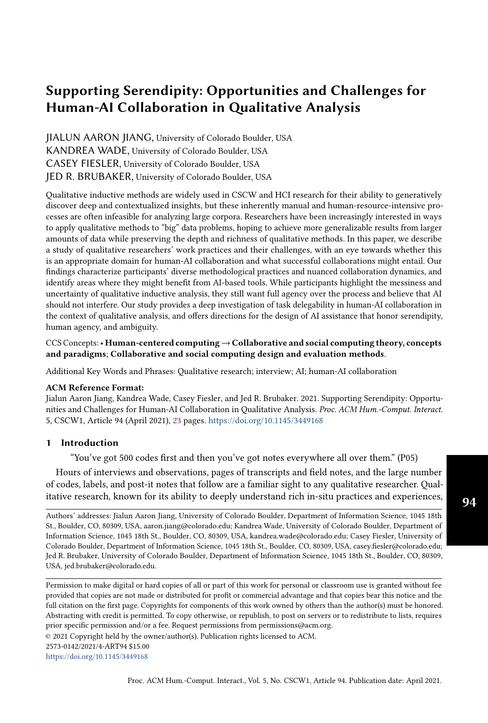# Supporting Serendipity: Opportunities and Challenges for Human-AI Collaboration in Qualitative Analysis

JIALUN AARON JIANG, University of Colorado Boulder, USA KANDREA WADE, University of Colorado Boulder, USA CASEY FIESLER, University of Colorado Boulder, USA JED R. BRUBAKER, University of Colorado Boulder, USA

Qualitative inductive methods are widely used in CSCW and HCI research for their ability to generatively discover deep and contextualized insights, but these inherently manual and human-resource-intensive processes are often infeasible for analyzing large corpora. Researchers have been increasingly interested in ways to apply qualitative methods to "big" data problems, hoping to achieve more generalizable results from larger amounts of data while preserving the depth and richness of qualitative methods. In this paper, we describe a study of qualitative researchers' work practices and their challenges, with an eye towards whether this is an appropriate domain for human-AI collaboration and what successful collaborations might entail. Our findings characterize participants' diverse methodological practices and nuanced collaboration dynamics, and identify areas where they might benefit from AI-based tools. While participants highlight the messiness and uncertainty of qualitative inductive analysis, they still want full agency over the process and believe that AI should not interfere. Our study provides a deep investigation of task delegability in human-AI collaboration in the context of qualitative analysis, and offers directions for the design of AI assistance that honor serendipity, human agency, and ambiguity.

# CCS Concepts:• Human-centered computing→Collaborative and social computing theory, concepts and paradigms; Collaborative and social computing design and evaluation methods.

Additional Key Words and Phrases: Qualitative research; interview; AI; human-AI collaboration

#### ACM Reference Format:

Jialun Aaron Jiang, Kandrea Wade, Casey Fiesler, and Jed R. Brubaker. 2021. Supporting Serendipity: Opportunities and Challenges for Human-AI Collaboration in Qualitative Analysis. Proc. ACM Hum.-Comput. Interact. 5, CSCW1, Article 94 (April 2021), [23](#page-22-0) pages. <https://doi.org/10.1145/3449168>

#### 1 Introduction

"You've got 500 codes first and then you've got notes everywhere all over them." (P05)

Hours of interviews and observations, pages of transcripts and field notes, and the large number of codes, labels, and post-it notes that follow are a familiar sight to any qualitative researcher. Qualitative research, known for its ability to deeply understand rich in-situ practices and experiences,

Authors' addresses: Jialun Aaron Jiang, University of Colorado Boulder, Department of Information Science, 1045 18th St., Boulder, CO, 80309, USA, aaron.jiang@colorado.edu; Kandrea Wade, University of Colorado Boulder, Department of Information Science, 1045 18th St., Boulder, CO, 80309, USA, kandrea.wade@colorado.edu; Casey Fiesler, University of Colorado Boulder, Department of Information Science, 1045 18th St., Boulder, CO, 80309, USA, casey.fiesler@colorado.edu; Jed R. Brubaker, University of Colorado Boulder, Department of Information Science, 1045 18th St., Boulder, CO, 80309, USA, jed.brubaker@colorado.edu.

Permission to make digital or hard copies of all or part of this work for personal or classroom use is granted without fee provided that copies are not made or distributed for profit or commercial advantage and that copies bear this notice and the full citation on the first page. Copyrights for components of this work owned by others than the author(s) must be honored. Abstracting with credit is permitted. To copy otherwise, or republish, to post on servers or to redistribute to lists, requires prior specific permission and/or a fee. Request permissions from permissions@acm.org.

© 2021 Copyright held by the owner/author(s). Publication rights licensed to ACM.

<https://doi.org/10.1145/3449168>

<sup>2573-0142/2021/4-</sup>ART94 \$15.00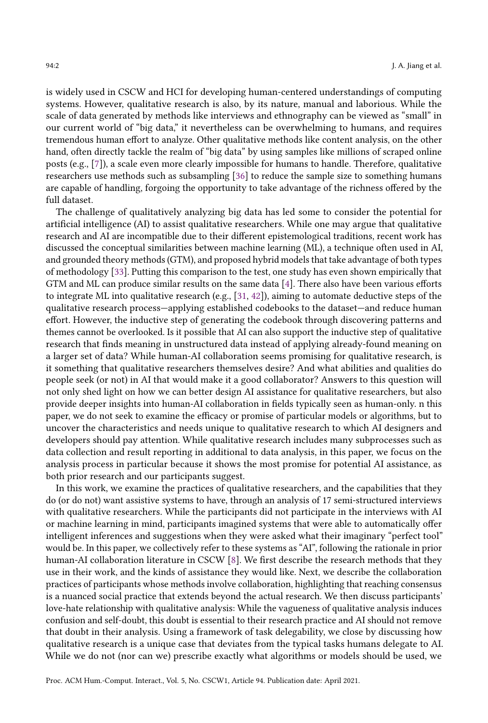is widely used in CSCW and HCI for developing human-centered understandings of computing systems. However, qualitative research is also, by its nature, manual and laborious. While the scale of data generated by methods like interviews and ethnography can be viewed as "small" in our current world of "big data," it nevertheless can be overwhelming to humans, and requires tremendous human effort to analyze. Other qualitative methods like content analysis, on the other hand, often directly tackle the realm of "big data" by using samples like millions of scraped online posts (e.g., [\[7\]](#page-20-0)), a scale even more clearly impossible for humans to handle. Therefore, qualitative researchers use methods such as subsampling [\[36\]](#page-21-0) to reduce the sample size to something humans are capable of handling, forgoing the opportunity to take advantage of the richness offered by the full dataset.

The challenge of qualitatively analyzing big data has led some to consider the potential for artificial intelligence (AI) to assist qualitative researchers. While one may argue that qualitative research and AI are incompatible due to their different epistemological traditions, recent work has discussed the conceptual similarities between machine learning (ML), a technique often used in AI, and grounded theory methods (GTM), and proposed hybrid models that take advantage of both types of methodology [\[33\]](#page-21-1). Putting this comparison to the test, one study has even shown empirically that GTM and ML can produce similar results on the same data [\[4\]](#page-20-1). There also have been various efforts to integrate ML into qualitative research (e.g., [\[31,](#page-21-2) [42\]](#page-22-1)), aiming to automate deductive steps of the qualitative research process—applying established codebooks to the dataset—and reduce human effort. However, the inductive step of generating the codebook through discovering patterns and themes cannot be overlooked. Is it possible that AI can also support the inductive step of qualitative research that finds meaning in unstructured data instead of applying already-found meaning on a larger set of data? While human-AI collaboration seems promising for qualitative research, is it something that qualitative researchers themselves desire? And what abilities and qualities do people seek (or not) in AI that would make it a good collaborator? Answers to this question will not only shed light on how we can better design AI assistance for qualitative researchers, but also provide deeper insights into human-AI collaboration in fields typically seen as human-only. n this paper, we do not seek to examine the efficacy or promise of particular models or algorithms, but to uncover the characteristics and needs unique to qualitative research to which AI designers and developers should pay attention. While qualitative research includes many subprocesses such as data collection and result reporting in additional to data analysis, in this paper, we focus on the analysis process in particular because it shows the most promise for potential AI assistance, as both prior research and our participants suggest.

In this work, we examine the practices of qualitative researchers, and the capabilities that they do (or do not) want assistive systems to have, through an analysis of 17 semi-structured interviews with qualitative researchers. While the participants did not participate in the interviews with AI or machine learning in mind, participants imagined systems that were able to automatically offer intelligent inferences and suggestions when they were asked what their imaginary "perfect tool" would be. In this paper, we collectively refer to these systems as "AI", following the rationale in prior human-AI collaboration literature in CSCW [\[8\]](#page-20-2). We first describe the research methods that they use in their work, and the kinds of assistance they would like. Next, we describe the collaboration practices of participants whose methods involve collaboration, highlighting that reaching consensus is a nuanced social practice that extends beyond the actual research. We then discuss participants' love-hate relationship with qualitative analysis: While the vagueness of qualitative analysis induces confusion and self-doubt, this doubt is essential to their research practice and AI should not remove that doubt in their analysis. Using a framework of task delegability, we close by discussing how qualitative research is a unique case that deviates from the typical tasks humans delegate to AI. While we do not (nor can we) prescribe exactly what algorithms or models should be used, we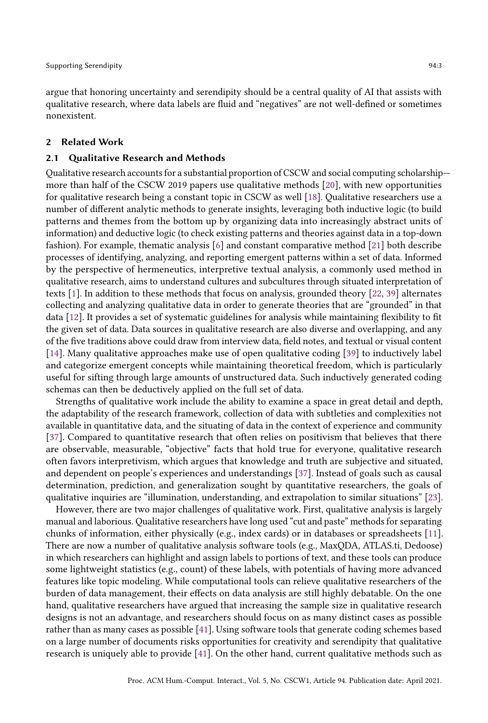argue that honoring uncertainty and serendipity should be a central quality of AI that assists with qualitative research, where data labels are fluid and "negatives" are not well-defined or sometimes nonexistent.

#### 2 Related Work

## 2.1 Qualitative Research and Methods

Qualitative research accounts for a substantial proportion of CSCW and social computing scholarship more than half of the CSCW 2019 papers use qualitative methods [\[20\]](#page-20-3), with new opportunities for qualitative research being a constant topic in CSCW as well [\[18\]](#page-20-4). Qualitative researchers use a number of different analytic methods to generate insights, leveraging both inductive logic (to build patterns and themes from the bottom up by organizing data into increasingly abstract units of information) and deductive logic (to check existing patterns and theories against data in a top-down fashion). For example, thematic analysis [\[6\]](#page-20-5) and constant comparative method [\[21\]](#page-21-3) both describe processes of identifying, analyzing, and reporting emergent patterns within a set of data. Informed by the perspective of hermeneutics, interpretive textual analysis, a commonly used method in qualitative research, aims to understand cultures and subcultures through situated interpretation of texts [\[1\]](#page-20-6). In addition to these methods that focus on analysis, grounded theory [\[22,](#page-21-4) [39\]](#page-21-5) alternates collecting and analyzing qualitative data in order to generate theories that are "grounded" in that data [\[12\]](#page-20-7). It provides a set of systematic guidelines for analysis while maintaining flexibility to fit the given set of data. Data sources in qualitative research are also diverse and overlapping, and any of the five traditions above could draw from interview data, field notes, and textual or visual content [\[14\]](#page-20-8). Many qualitative approaches make use of open qualitative coding [\[39\]](#page-21-5) to inductively label and categorize emergent concepts while maintaining theoretical freedom, which is particularly useful for sifting through large amounts of unstructured data. Such inductively generated coding schemas can then be deductively applied on the full set of data.

Strengths of qualitative work include the ability to examine a space in great detail and depth, the adaptability of the research framework, collection of data with subtleties and complexities not available in quantitative data, and the situating of data in the context of experience and community [\[37\]](#page-21-6). Compared to quantitative research that often relies on positivism that believes that there are observable, measurable, "objective" facts that hold true for everyone, qualitative research often favors interpretivism, which argues that knowledge and truth are subjective and situated, and dependent on people's experiences and understandings [\[37\]](#page-21-6). Instead of goals such as causal determination, prediction, and generalization sought by quantitative researchers, the goals of qualitative inquiries are "illumination, understanding, and extrapolation to similar situations" [\[23\]](#page-21-7).

However, there are two major challenges of qualitative work. First, qualitative analysis is largely manual and laborious. Qualitative researchers have long used "cut and paste" methods for separating chunks of information, either physically (e.g., index cards) or in databases or spreadsheets [\[11\]](#page-20-9). There are now a number of qualitative analysis software tools (e.g., MaxQDA, ATLAS.ti, Dedoose) in which researchers can highlight and assign labels to portions of text, and these tools can produce some lightweight statistics (e.g., count) of these labels, with potentials of having more advanced features like topic modeling. While computational tools can relieve qualitative researchers of the burden of data management, their effects on data analysis are still highly debatable. On the one hand, qualitative researchers have argued that increasing the sample size in qualitative research designs is not an advantage, and researchers should focus on as many distinct cases as possible rather than as many cases as possible [\[41\]](#page-22-2). Using software tools that generate coding schemes based on a large number of documents risks opportunities for creativity and serendipity that qualitative research is uniquely able to provide [\[41\]](#page-22-2). On the other hand, current qualitative methods such as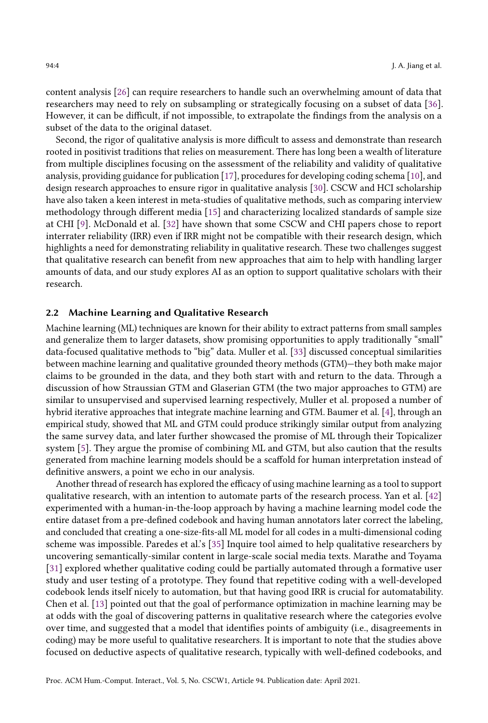content analysis [\[26\]](#page-21-8) can require researchers to handle such an overwhelming amount of data that researchers may need to rely on subsampling or strategically focusing on a subset of data [\[36\]](#page-21-0). However, it can be difficult, if not impossible, to extrapolate the findings from the analysis on a subset of the data to the original dataset.

Second, the rigor of qualitative analysis is more difficult to assess and demonstrate than research rooted in positivist traditions that relies on measurement. There has long been a wealth of literature from multiple disciplines focusing on the assessment of the reliability and validity of qualitative analysis, providing guidance for publication [\[17\]](#page-20-10), procedures for developing coding schema [\[10\]](#page-20-11), and design research approaches to ensure rigor in qualitative analysis [\[30\]](#page-21-9). CSCW and HCI scholarship have also taken a keen interest in meta-studies of qualitative methods, such as comparing interview methodology through different media [\[15\]](#page-20-12) and characterizing localized standards of sample size at CHI [\[9\]](#page-20-13). McDonald et al. [\[32\]](#page-21-10) have shown that some CSCW and CHI papers chose to report interrater reliability (IRR) even if IRR might not be compatible with their research design, which highlights a need for demonstrating reliability in qualitative research. These two challenges suggest that qualitative research can benefit from new approaches that aim to help with handling larger amounts of data, and our study explores AI as an option to support qualitative scholars with their research.

#### 2.2 Machine Learning and Qualitative Research

Machine learning (ML) techniques are known for their ability to extract patterns from small samples and generalize them to larger datasets, show promising opportunities to apply traditionally "small" data-focused qualitative methods to "big" data. Muller et al. [\[33\]](#page-21-1) discussed conceptual similarities between machine learning and qualitative grounded theory methods (GTM)—they both make major claims to be grounded in the data, and they both start with and return to the data. Through a discussion of how Straussian GTM and Glaserian GTM (the two major approaches to GTM) are similar to unsupervised and supervised learning respectively, Muller et al. proposed a number of hybrid iterative approaches that integrate machine learning and GTM. Baumer et al. [\[4\]](#page-20-1), through an empirical study, showed that ML and GTM could produce strikingly similar output from analyzing the same survey data, and later further showcased the promise of ML through their Topicalizer system [\[5\]](#page-20-14). They argue the promise of combining ML and GTM, but also caution that the results generated from machine learning models should be a scaffold for human interpretation instead of definitive answers, a point we echo in our analysis.

Another thread of research has explored the efficacy of using machine learning as a tool to support qualitative research, with an intention to automate parts of the research process. Yan et al. [\[42\]](#page-22-1) experimented with a human-in-the-loop approach by having a machine learning model code the entire dataset from a pre-defined codebook and having human annotators later correct the labeling, and concluded that creating a one-size-fits-all ML model for all codes in a multi-dimensional coding scheme was impossible. Paredes et al.'s [\[35\]](#page-21-11) Inquire tool aimed to help qualitative researchers by uncovering semantically-similar content in large-scale social media texts. Marathe and Toyama [\[31\]](#page-21-2) explored whether qualitative coding could be partially automated through a formative user study and user testing of a prototype. They found that repetitive coding with a well-developed codebook lends itself nicely to automation, but that having good IRR is crucial for automatability. Chen et al. [\[13\]](#page-20-15) pointed out that the goal of performance optimization in machine learning may be at odds with the goal of discovering patterns in qualitative research where the categories evolve over time, and suggested that a model that identifies points of ambiguity (i.e., disagreements in coding) may be more useful to qualitative researchers. It is important to note that the studies above focused on deductive aspects of qualitative research, typically with well-defined codebooks, and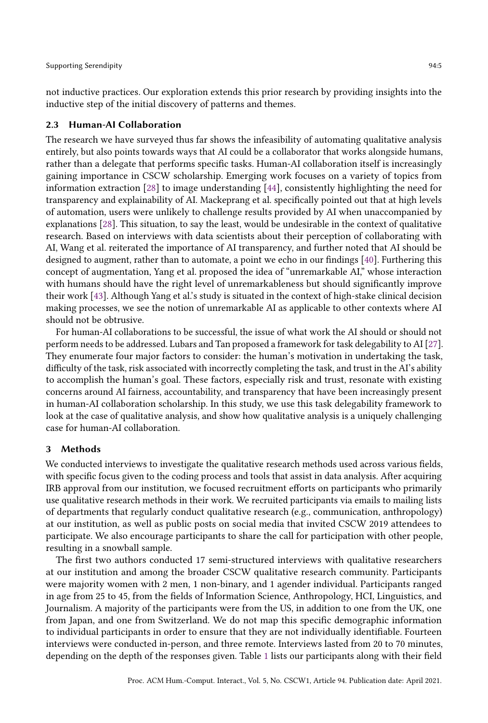not inductive practices. Our exploration extends this prior research by providing insights into the inductive step of the initial discovery of patterns and themes.

## 2.3 Human-AI Collaboration

The research we have surveyed thus far shows the infeasibility of automating qualitative analysis entirely, but also points towards ways that AI could be a collaborator that works alongside humans, rather than a delegate that performs specific tasks. Human-AI collaboration itself is increasingly gaining importance in CSCW scholarship. Emerging work focuses on a variety of topics from information extraction [\[28\]](#page-21-12) to image understanding [\[44\]](#page-22-3), consistently highlighting the need for transparency and explainability of AI. Mackeprang et al. specifically pointed out that at high levels of automation, users were unlikely to challenge results provided by AI when unaccompanied by explanations [\[28\]](#page-21-12). This situation, to say the least, would be undesirable in the context of qualitative research. Based on interviews with data scientists about their perception of collaborating with AI, Wang et al. reiterated the importance of AI transparency, and further noted that AI should be designed to augment, rather than to automate, a point we echo in our findings [\[40\]](#page-21-13). Furthering this concept of augmentation, Yang et al. proposed the idea of "unremarkable AI," whose interaction with humans should have the right level of unremarkableness but should significantly improve their work [\[43\]](#page-22-4). Although Yang et al.'s study is situated in the context of high-stake clinical decision making processes, we see the notion of unremarkable AI as applicable to other contexts where AI should not be obtrusive.

For human-AI collaborations to be successful, the issue of what work the AI should or should not perform needs to be addressed. Lubars and Tan proposed a framework for task delegability to AI [\[27\]](#page-21-14). They enumerate four major factors to consider: the human's motivation in undertaking the task, difficulty of the task, risk associated with incorrectly completing the task, and trust in the AI's ability to accomplish the human's goal. These factors, especially risk and trust, resonate with existing concerns around AI fairness, accountability, and transparency that have been increasingly present in human-AI collaboration scholarship. In this study, we use this task delegability framework to look at the case of qualitative analysis, and show how qualitative analysis is a uniquely challenging case for human-AI collaboration.

#### 3 Methods

We conducted interviews to investigate the qualitative research methods used across various fields, with specific focus given to the coding process and tools that assist in data analysis. After acquiring IRB approval from our institution, we focused recruitment efforts on participants who primarily use qualitative research methods in their work. We recruited participants via emails to mailing lists of departments that regularly conduct qualitative research (e.g., communication, anthropology) at our institution, as well as public posts on social media that invited CSCW 2019 attendees to participate. We also encourage participants to share the call for participation with other people, resulting in a snowball sample.

The first two authors conducted 17 semi-structured interviews with qualitative researchers at our institution and among the broader CSCW qualitative research community. Participants were majority women with 2 men, 1 non-binary, and 1 agender individual. Participants ranged in age from 25 to 45, from the fields of Information Science, Anthropology, HCI, Linguistics, and Journalism. A majority of the participants were from the US, in addition to one from the UK, one from Japan, and one from Switzerland. We do not map this specific demographic information to individual participants in order to ensure that they are not individually identifiable. Fourteen interviews were conducted in-person, and three remote. Interviews lasted from 20 to 70 minutes, depending on the depth of the responses given. Table [1](#page-5-0) lists our participants along with their field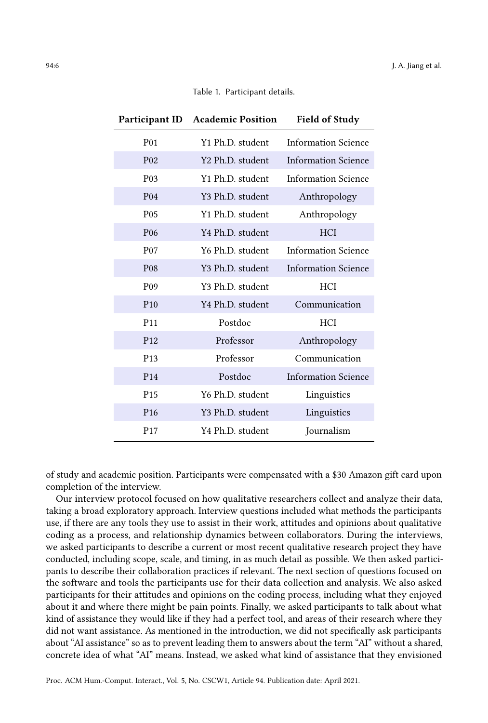## Table 1. Participant details.

<span id="page-5-0"></span>

|                  | Participant ID Academic Position | <b>Field of Study</b>      |  |
|------------------|----------------------------------|----------------------------|--|
| P <sub>0</sub> 1 | Y1 Ph.D. student                 | <b>Information Science</b> |  |
| P <sub>02</sub>  | Y2 Ph.D. student                 | <b>Information Science</b> |  |
| P <sub>0</sub> 3 | Y1 Ph.D. student                 | <b>Information Science</b> |  |
| P <sub>04</sub>  | Y3 Ph.D. student                 | Anthropology               |  |
| P <sub>05</sub>  | Y1 Ph.D. student                 | Anthropology               |  |
| P <sub>06</sub>  | Y4 Ph.D. student                 | <b>HCI</b>                 |  |
| P <sub>07</sub>  | Y6 Ph.D. student                 | <b>Information Science</b> |  |
| P <sub>08</sub>  | Y3 Ph.D. student                 | <b>Information Science</b> |  |
| P <sub>09</sub>  | Y3 Ph.D. student                 | <b>HCI</b>                 |  |
| P10              | Y4 Ph.D. student                 | Communication              |  |
| P <sub>11</sub>  | Postdoc                          | <b>HCI</b>                 |  |
| P <sub>12</sub>  | Professor                        | Anthropology               |  |
| P <sub>13</sub>  | Professor                        | Communication              |  |
| P <sub>14</sub>  | Postdoc                          | <b>Information Science</b> |  |
| P <sub>15</sub>  | Y6 Ph.D. student                 | Linguistics                |  |
| P <sub>16</sub>  | Y3 Ph.D. student                 | Linguistics                |  |
| P <sub>17</sub>  | Y4 Ph.D. student                 | Journalism                 |  |

of study and academic position. Participants were compensated with a \$30 Amazon gift card upon completion of the interview.

Our interview protocol focused on how qualitative researchers collect and analyze their data, taking a broad exploratory approach. Interview questions included what methods the participants use, if there are any tools they use to assist in their work, attitudes and opinions about qualitative coding as a process, and relationship dynamics between collaborators. During the interviews, we asked participants to describe a current or most recent qualitative research project they have conducted, including scope, scale, and timing, in as much detail as possible. We then asked participants to describe their collaboration practices if relevant. The next section of questions focused on the software and tools the participants use for their data collection and analysis. We also asked participants for their attitudes and opinions on the coding process, including what they enjoyed about it and where there might be pain points. Finally, we asked participants to talk about what kind of assistance they would like if they had a perfect tool, and areas of their research where they did not want assistance. As mentioned in the introduction, we did not specifically ask participants about "AI assistance" so as to prevent leading them to answers about the term "AI" without a shared, concrete idea of what "AI" means. Instead, we asked what kind of assistance that they envisioned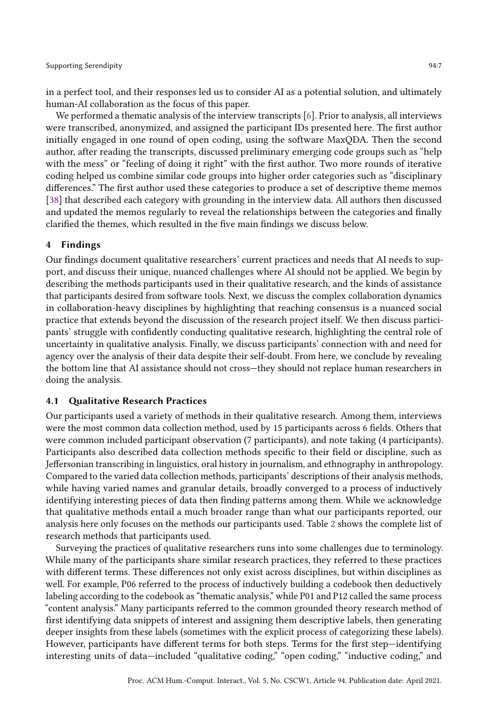in a perfect tool, and their responses led us to consider AI as a potential solution, and ultimately human-AI collaboration as the focus of this paper.

We performed a thematic analysis of the interview transcripts [\[6\]](#page-20-5). Prior to analysis, all interviews were transcribed, anonymized, and assigned the participant IDs presented here. The first author initially engaged in one round of open coding, using the software MaxQDA. Then the second author, after reading the transcripts, discussed preliminary emerging code groups such as "help with the mess" or "feeling of doing it right" with the first author. Two more rounds of iterative coding helped us combine similar code groups into higher order categories such as "disciplinary differences." The first author used these categories to produce a set of descriptive theme memos [\[38\]](#page-21-15) that described each category with grounding in the interview data. All authors then discussed and updated the memos regularly to reveal the relationships between the categories and finally clarified the themes, which resulted in the five main findings we discuss below.

# 4 Findings

Our findings document qualitative researchers' current practices and needs that AI needs to support, and discuss their unique, nuanced challenges where AI should not be applied. We begin by describing the methods participants used in their qualitative research, and the kinds of assistance that participants desired from software tools. Next, we discuss the complex collaboration dynamics in collaboration-heavy disciplines by highlighting that reaching consensus is a nuanced social practice that extends beyond the discussion of the research project itself. We then discuss participants' struggle with confidently conducting qualitative research, highlighting the central role of uncertainty in qualitative analysis. Finally, we discuss participants' connection with and need for agency over the analysis of their data despite their self-doubt. From here, we conclude by revealing the bottom line that AI assistance should not cross—they should not replace human researchers in doing the analysis.

## 4.1 Qualitative Research Practices

Our participants used a variety of methods in their qualitative research. Among them, interviews were the most common data collection method, used by 15 participants across 6 fields. Others that were common included participant observation (7 participants), and note taking (4 participants). Participants also described data collection methods specific to their field or discipline, such as Jeffersonian transcribing in linguistics, oral history in journalism, and ethnography in anthropology. Compared to the varied data collection methods, participants' descriptions of their analysis methods, while having varied names and granular details, broadly converged to a process of inductively identifying interesting pieces of data then finding patterns among them. While we acknowledge that qualitative methods entail a much broader range than what our participants reported, our analysis here only focuses on the methods our participants used. Table [2](#page-7-0) shows the complete list of research methods that participants used.

Surveying the practices of qualitative researchers runs into some challenges due to terminology. While many of the participants share similar research practices, they referred to these practices with different terms. These differences not only exist across disciplines, but within disciplines as well. For example, P06 referred to the process of inductively building a codebook then deductively labeling according to the codebook as "thematic analysis," while P01 and P12 called the same process "content analysis." Many participants referred to the common grounded theory research method of first identifying data snippets of interest and assigning them descriptive labels, then generating deeper insights from these labels (sometimes with the explicit process of categorizing these labels). However, participants have different terms for both steps. Terms for the first step—identifying interesting units of data—included "qualitative coding," "open coding," "inductive coding," and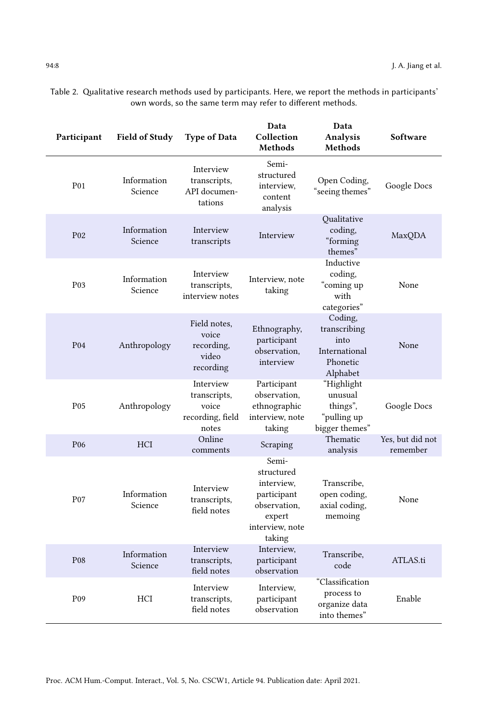| Participant      | <b>Field of Study</b>  | <b>Type of Data</b>                                             | Data<br>Collection<br>Methods                                                                           | Data<br>Analysis<br>Methods                                              | Software                     |
|------------------|------------------------|-----------------------------------------------------------------|---------------------------------------------------------------------------------------------------------|--------------------------------------------------------------------------|------------------------------|
| P01              | Information<br>Science | Interview<br>transcripts,<br>API documen-<br>tations            | Semi-<br>structured<br>interview.<br>content<br>analysis                                                | Open Coding,<br>"seeing themes"                                          | Google Docs                  |
| P <sub>02</sub>  | Information<br>Science | Interview<br>transcripts                                        | Interview                                                                                               | Qualitative<br>coding,<br>"forming<br>themes"                            | MaxQDA                       |
| P <sub>0</sub> 3 | Information<br>Science | Interview<br>transcripts,<br>interview notes                    | Interview, note<br>taking                                                                               | Inductive<br>coding.<br>"coming up<br>with<br>categories"                | None                         |
| P <sub>04</sub>  | Anthropology           | Field notes,<br>voice<br>recording,<br>video<br>recording       | Ethnography,<br>participant<br>observation,<br>interview                                                | Coding,<br>transcribing<br>into<br>International<br>Phonetic<br>Alphabet | None                         |
| P <sub>05</sub>  | Anthropology           | Interview<br>transcripts,<br>voice<br>recording, field<br>notes | Participant<br>observation,<br>ethnographic<br>interview, note<br>taking                                | "Highlight<br>unusual<br>things",<br>"pulling up<br>bigger themes"       | Google Docs                  |
| P <sub>06</sub>  | <b>HCI</b>             | Online<br>comments                                              | Scraping                                                                                                | Thematic<br>analysis                                                     | Yes, but did not<br>remember |
| P <sub>07</sub>  | Information<br>Science | Interview<br>transcripts,<br>field notes                        | Semi-<br>structured<br>interview.<br>participant<br>observation,<br>expert<br>interview, note<br>taking | Transcribe.<br>open coding,<br>axial coding,<br>memoing                  | None                         |
| P <sub>08</sub>  | Information<br>Science | Interview<br>transcripts,<br>field notes                        | Interview,<br>participant<br>observation                                                                | Transcribe.<br>code                                                      | ATLAS.ti                     |
| P <sub>09</sub>  | <b>HCI</b>             | Interview<br>transcripts,<br>field notes                        | Interview.<br>participant<br>observation                                                                | "Classification<br>process to<br>organize data<br>into themes"           | Enable                       |

<span id="page-7-0"></span>Table 2. Qualitative research methods used by participants. Here, we report the methods in participants' own words, so the same term may refer to different methods.

Proc. ACM Hum.-Comput. Interact., Vol. 5, No. CSCW1, Article 94. Publication date: April 2021.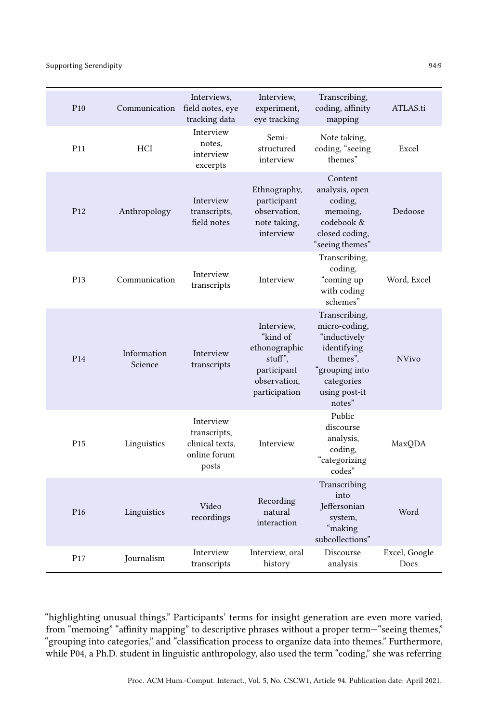Supporting Serendipity 94:9

| P <sub>10</sub> | Communication          | Interviews,<br>field notes, eye<br>tracking data                      | Interview,<br>experiment,<br>eye tracking                                                          | Transcribing,<br>coding, affinity<br>mapping                                                                                         | ATLAS.ti              |
|-----------------|------------------------|-----------------------------------------------------------------------|----------------------------------------------------------------------------------------------------|--------------------------------------------------------------------------------------------------------------------------------------|-----------------------|
| P11             | HCI                    | Interview<br>notes.<br>interview<br>excerpts                          | Semi-<br>structured<br>interview                                                                   | Note taking,<br>coding, "seeing<br>themes"                                                                                           | Excel                 |
| P <sub>12</sub> | Anthropology           | Interview<br>transcripts,<br>field notes                              | Ethnography,<br>participant<br>observation.<br>note taking,<br>interview                           | Content<br>analysis, open<br>coding,<br>memoing,<br>codebook &<br>closed coding,<br>"seeing themes"                                  | Dedoose               |
| P <sub>13</sub> | Communication          | Interview<br>transcripts                                              | Interview                                                                                          | Transcribing,<br>coding,<br>"coming up<br>with coding<br>schemes"                                                                    | Word, Excel           |
| P <sub>14</sub> | Information<br>Science | Interview<br>transcripts                                              | Interview,<br>"kind of<br>ethonographic<br>stuff".<br>participant<br>observation,<br>participation | Transcribing,<br>micro-coding,<br>"inductively<br>identifying<br>themes".<br>"grouping into<br>categories<br>using post-it<br>notes" | <b>NVivo</b>          |
| P <sub>15</sub> | Linguistics            | Interview<br>transcripts,<br>clinical texts,<br>online forum<br>posts | Interview                                                                                          | Public<br>discourse<br>analysis,<br>coding,<br>"categorizing<br>codes"                                                               | MaxQDA                |
| P <sub>16</sub> | Linguistics            | Video<br>recordings                                                   | Recording<br>natural<br>interaction                                                                | Transcribing<br>into<br>Jeffersonian<br>system,<br>"making<br>subcollections"                                                        | Word                  |
| P <sub>17</sub> | Journalism             | Interview<br>transcripts                                              | Interview, oral<br>history                                                                         | Discourse<br>analysis                                                                                                                | Excel, Google<br>Docs |

"highlighting unusual things." Participants' terms for insight generation are even more varied, from "memoing" "affinity mapping" to descriptive phrases without a proper term—"seeing themes," "grouping into categories," and "classification process to organize data into themes." Furthermore, while P04, a Ph.D. student in linguistic anthropology, also used the term "coding," she was referring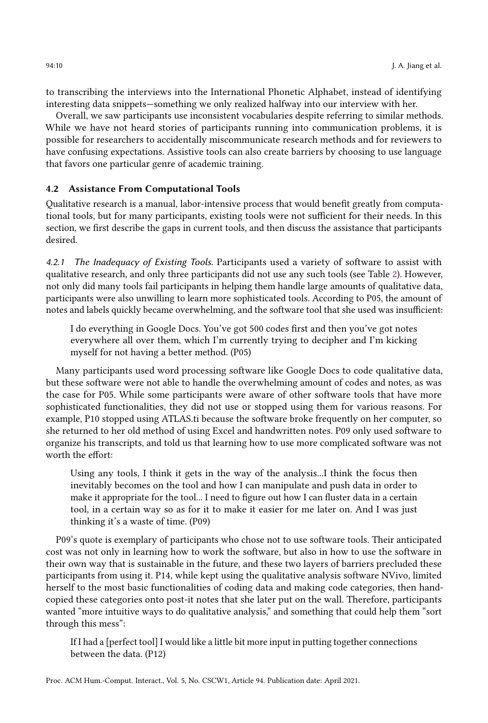to transcribing the interviews into the International Phonetic Alphabet, instead of identifying interesting data snippets—something we only realized halfway into our interview with her.

Overall, we saw participants use inconsistent vocabularies despite referring to similar methods. While we have not heard stories of participants running into communication problems, it is possible for researchers to accidentally miscommunicate research methods and for reviewers to have confusing expectations. Assistive tools can also create barriers by choosing to use language that favors one particular genre of academic training.

# 4.2 Assistance From Computational Tools

Qualitative research is a manual, labor-intensive process that would benefit greatly from computational tools, but for many participants, existing tools were not sufficient for their needs. In this section, we first describe the gaps in current tools, and then discuss the assistance that participants desired.

4.2.1 The Inadequacy of Existing Tools. Participants used a variety of software to assist with qualitative research, and only three participants did not use any such tools (see Table [2\)](#page-7-0). However, not only did many tools fail participants in helping them handle large amounts of qualitative data, participants were also unwilling to learn more sophisticated tools. According to P05, the amount of notes and labels quickly became overwhelming, and the software tool that she used was insufficient:

I do everything in Google Docs. You've got 500 codes first and then you've got notes everywhere all over them, which I'm currently trying to decipher and I'm kicking myself for not having a better method. (P05)

Many participants used word processing software like Google Docs to code qualitative data, but these software were not able to handle the overwhelming amount of codes and notes, as was the case for P05. While some participants were aware of other software tools that have more sophisticated functionalities, they did not use or stopped using them for various reasons. For example, P10 stopped using ATLAS.ti because the software broke frequently on her computer, so she returned to her old method of using Excel and handwritten notes. P09 only used software to organize his transcripts, and told us that learning how to use more complicated software was not worth the effort:

Using any tools, I think it gets in the way of the analysis...I think the focus then inevitably becomes on the tool and how I can manipulate and push data in order to make it appropriate for the tool... I need to figure out how I can fluster data in a certain tool, in a certain way so as for it to make it easier for me later on. And I was just thinking it's a waste of time. (P09)

P09's quote is exemplary of participants who chose not to use software tools. Their anticipated cost was not only in learning how to work the software, but also in how to use the software in their own way that is sustainable in the future, and these two layers of barriers precluded these participants from using it. P14, while kept using the qualitative analysis software NVivo, limited herself to the most basic functionalities of coding data and making code categories, then handcopied these categories onto post-it notes that she later put on the wall. Therefore, participants wanted "more intuitive ways to do qualitative analysis," and something that could help them "sort through this mess":

If I had a [perfect tool] I would like a little bit more input in putting together connections between the data. (P12)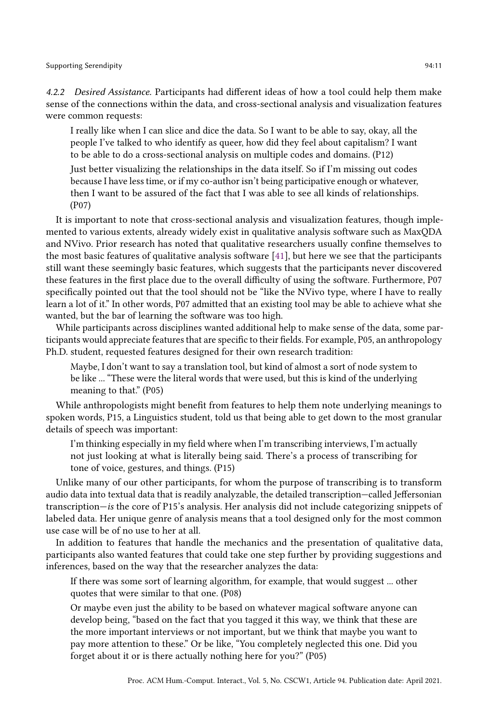Supporting Serendipity 94:11

4.2.2 Desired Assistance. Participants had different ideas of how a tool could help them make sense of the connections within the data, and cross-sectional analysis and visualization features were common requests:

I really like when I can slice and dice the data. So I want to be able to say, okay, all the people I've talked to who identify as queer, how did they feel about capitalism? I want to be able to do a cross-sectional analysis on multiple codes and domains. (P12)

Just better visualizing the relationships in the data itself. So if I'm missing out codes because I have less time, or if my co-author isn't being participative enough or whatever, then I want to be assured of the fact that I was able to see all kinds of relationships. (P07)

It is important to note that cross-sectional analysis and visualization features, though implemented to various extents, already widely exist in qualitative analysis software such as MaxQDA and NVivo. Prior research has noted that qualitative researchers usually confine themselves to the most basic features of qualitative analysis software [\[41\]](#page-22-2), but here we see that the participants still want these seemingly basic features, which suggests that the participants never discovered these features in the first place due to the overall difficulty of using the software. Furthermore, P07 specifically pointed out that the tool should not be "like the NVivo type, where I have to really learn a lot of it." In other words, P07 admitted that an existing tool may be able to achieve what she wanted, but the bar of learning the software was too high.

While participants across disciplines wanted additional help to make sense of the data, some participants would appreciate features that are specific to their fields. For example, P05, an anthropology Ph.D. student, requested features designed for their own research tradition:

Maybe, I don't want to say a translation tool, but kind of almost a sort of node system to be like ... "These were the literal words that were used, but this is kind of the underlying meaning to that." (P05)

While anthropologists might benefit from features to help them note underlying meanings to spoken words, P15, a Linguistics student, told us that being able to get down to the most granular details of speech was important:

I'm thinking especially in my field where when I'm transcribing interviews, I'm actually not just looking at what is literally being said. There's a process of transcribing for tone of voice, gestures, and things. (P15)

Unlike many of our other participants, for whom the purpose of transcribing is to transform audio data into textual data that is readily analyzable, the detailed transcription—called Jeffersonian transcription—is the core of P15's analysis. Her analysis did not include categorizing snippets of labeled data. Her unique genre of analysis means that a tool designed only for the most common use case will be of no use to her at all.

In addition to features that handle the mechanics and the presentation of qualitative data, participants also wanted features that could take one step further by providing suggestions and inferences, based on the way that the researcher analyzes the data:

If there was some sort of learning algorithm, for example, that would suggest ... other quotes that were similar to that one. (P08)

Or maybe even just the ability to be based on whatever magical software anyone can develop being, "based on the fact that you tagged it this way, we think that these are the more important interviews or not important, but we think that maybe you want to pay more attention to these." Or be like, "You completely neglected this one. Did you forget about it or is there actually nothing here for you?" (P05)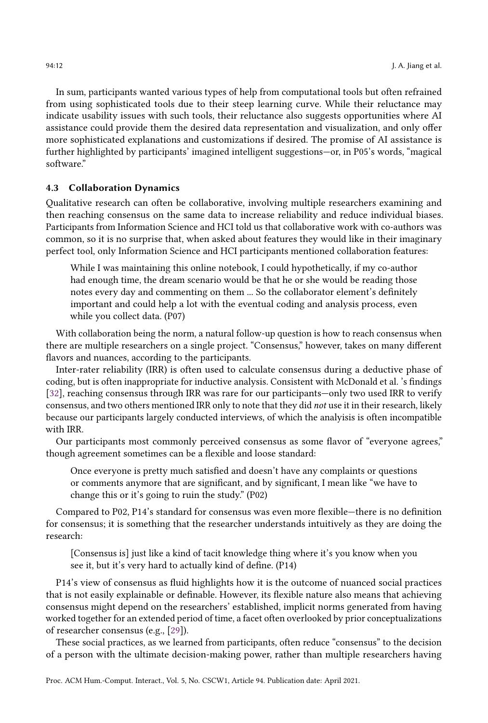In sum, participants wanted various types of help from computational tools but often refrained from using sophisticated tools due to their steep learning curve. While their reluctance may indicate usability issues with such tools, their reluctance also suggests opportunities where AI assistance could provide them the desired data representation and visualization, and only offer more sophisticated explanations and customizations if desired. The promise of AI assistance is further highlighted by participants' imagined intelligent suggestions—or, in P05's words, "magical software."

## 4.3 Collaboration Dynamics

Qualitative research can often be collaborative, involving multiple researchers examining and then reaching consensus on the same data to increase reliability and reduce individual biases. Participants from Information Science and HCI told us that collaborative work with co-authors was common, so it is no surprise that, when asked about features they would like in their imaginary perfect tool, only Information Science and HCI participants mentioned collaboration features:

While I was maintaining this online notebook, I could hypothetically, if my co-author had enough time, the dream scenario would be that he or she would be reading those notes every day and commenting on them ... So the collaborator element's definitely important and could help a lot with the eventual coding and analysis process, even while you collect data. (P07)

With collaboration being the norm, a natural follow-up question is how to reach consensus when there are multiple researchers on a single project. "Consensus," however, takes on many different flavors and nuances, according to the participants.

Inter-rater reliability (IRR) is often used to calculate consensus during a deductive phase of coding, but is often inappropriate for inductive analysis. Consistent with McDonald et al. 's findings [\[32\]](#page-21-10), reaching consensus through IRR was rare for our participants—only two used IRR to verify consensus, and two others mentioned IRR only to note that they did not use it in their research, likely because our participants largely conducted interviews, of which the analyisis is often incompatible with IRR.

Our participants most commonly perceived consensus as some flavor of "everyone agrees," though agreement sometimes can be a flexible and loose standard:

Once everyone is pretty much satisfied and doesn't have any complaints or questions or comments anymore that are significant, and by significant, I mean like "we have to change this or it's going to ruin the study." (P02)

Compared to P02, P14's standard for consensus was even more flexible—there is no definition for consensus; it is something that the researcher understands intuitively as they are doing the research:

[Consensus is] just like a kind of tacit knowledge thing where it's you know when you see it, but it's very hard to actually kind of define. (P14)

P14's view of consensus as fluid highlights how it is the outcome of nuanced social practices that is not easily explainable or definable. However, its flexible nature also means that achieving consensus might depend on the researchers' established, implicit norms generated from having worked together for an extended period of time, a facet often overlooked by prior conceptualizations of researcher consensus (e.g., [\[29\]](#page-21-16)).

These social practices, as we learned from participants, often reduce "consensus" to the decision of a person with the ultimate decision-making power, rather than multiple researchers having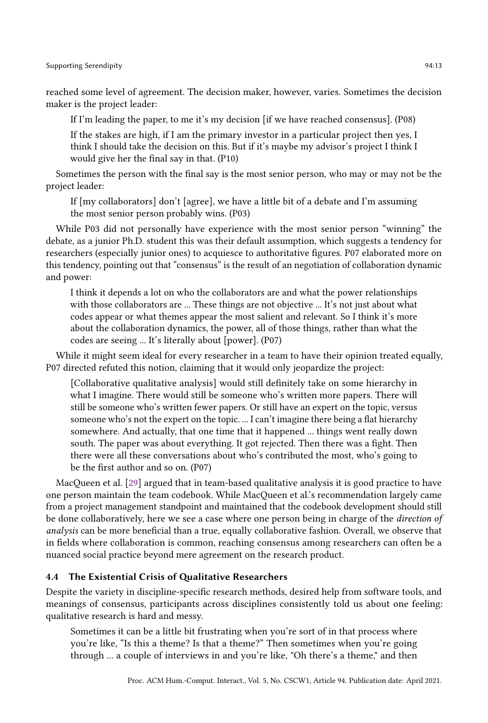reached some level of agreement. The decision maker, however, varies. Sometimes the decision maker is the project leader:

If I'm leading the paper, to me it's my decision [if we have reached consensus]. (P08)

If the stakes are high, if I am the primary investor in a particular project then yes, I think I should take the decision on this. But if it's maybe my advisor's project I think I would give her the final say in that. (P10)

Sometimes the person with the final say is the most senior person, who may or may not be the project leader:

If [my collaborators] don't [agree], we have a little bit of a debate and I'm assuming the most senior person probably wins. (P03)

While P03 did not personally have experience with the most senior person "winning" the debate, as a junior Ph.D. student this was their default assumption, which suggests a tendency for researchers (especially junior ones) to acquiesce to authoritative figures. P07 elaborated more on this tendency, pointing out that "consensus" is the result of an negotiation of collaboration dynamic and power:

I think it depends a lot on who the collaborators are and what the power relationships with those collaborators are ... These things are not objective ... It's not just about what codes appear or what themes appear the most salient and relevant. So I think it's more about the collaboration dynamics, the power, all of those things, rather than what the codes are seeing ... It's literally about [power]. (P07)

While it might seem ideal for every researcher in a team to have their opinion treated equally, P07 directed refuted this notion, claiming that it would only jeopardize the project:

[Collaborative qualitative analysis] would still definitely take on some hierarchy in what I imagine. There would still be someone who's written more papers. There will still be someone who's written fewer papers. Or still have an expert on the topic, versus someone who's not the expert on the topic. ... I can't imagine there being a flat hierarchy somewhere. And actually, that one time that it happened ... things went really down south. The paper was about everything. It got rejected. Then there was a fight. Then there were all these conversations about who's contributed the most, who's going to be the first author and so on. (P07)

MacQueen et al. [\[29\]](#page-21-16) argued that in team-based qualitative analysis it is good practice to have one person maintain the team codebook. While MacQueen et al.'s recommendation largely came from a project management standpoint and maintained that the codebook development should still be done collaboratively, here we see a case where one person being in charge of the direction of analysis can be more beneficial than a true, equally collaborative fashion. Overall, we observe that in fields where collaboration is common, reaching consensus among researchers can often be a nuanced social practice beyond mere agreement on the research product.

# 4.4 The Existential Crisis of Qualitative Researchers

Despite the variety in discipline-specific research methods, desired help from software tools, and meanings of consensus, participants across disciplines consistently told us about one feeling: qualitative research is hard and messy.

Sometimes it can be a little bit frustrating when you're sort of in that process where you're like, "Is this a theme? Is that a theme?" Then sometimes when you're going through ... a couple of interviews in and you're like, "Oh there's a theme," and then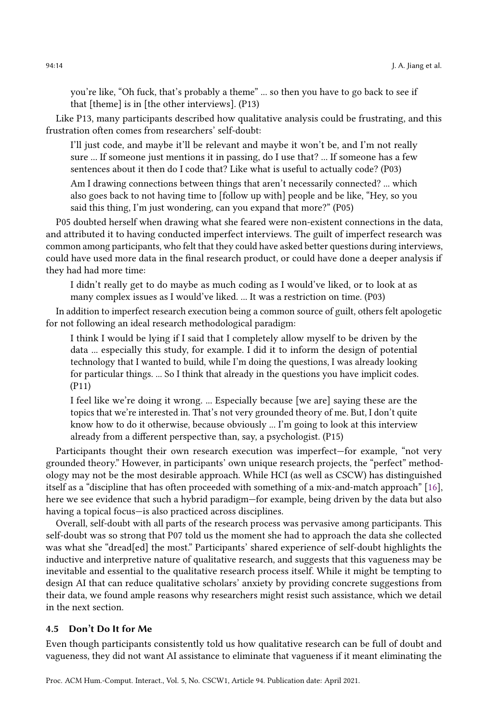you're like, "Oh fuck, that's probably a theme" ... so then you have to go back to see if that [theme] is in [the other interviews]. (P13)

Like P13, many participants described how qualitative analysis could be frustrating, and this frustration often comes from researchers' self-doubt:

I'll just code, and maybe it'll be relevant and maybe it won't be, and I'm not really sure ... If someone just mentions it in passing, do I use that? ... If someone has a few sentences about it then do I code that? Like what is useful to actually code? (P03)

Am I drawing connections between things that aren't necessarily connected? ... which also goes back to not having time to [follow up with] people and be like, "Hey, so you said this thing, I'm just wondering, can you expand that more?" (P05)

P05 doubted herself when drawing what she feared were non-existent connections in the data, and attributed it to having conducted imperfect interviews. The guilt of imperfect research was common among participants, who felt that they could have asked better questions during interviews, could have used more data in the final research product, or could have done a deeper analysis if they had had more time:

I didn't really get to do maybe as much coding as I would've liked, or to look at as many complex issues as I would've liked. ... It was a restriction on time. (P03)

In addition to imperfect research execution being a common source of guilt, others felt apologetic for not following an ideal research methodological paradigm:

I think I would be lying if I said that I completely allow myself to be driven by the data ... especially this study, for example. I did it to inform the design of potential technology that I wanted to build, while I'm doing the questions, I was already looking for particular things. ... So I think that already in the questions you have implicit codes. (P11)

I feel like we're doing it wrong. ... Especially because [we are] saying these are the topics that we're interested in. That's not very grounded theory of me. But, I don't quite know how to do it otherwise, because obviously ... I'm going to look at this interview already from a different perspective than, say, a psychologist. (P15)

Participants thought their own research execution was imperfect—for example, "not very grounded theory." However, in participants' own unique research projects, the "perfect" methodology may not be the most desirable approach. While HCI (as well as CSCW) has distinguished itself as a "discipline that has often proceeded with something of a mix-and-match approach" [\[16\]](#page-20-16), here we see evidence that such a hybrid paradigm—for example, being driven by the data but also having a topical focus—is also practiced across disciplines.

Overall, self-doubt with all parts of the research process was pervasive among participants. This self-doubt was so strong that P07 told us the moment she had to approach the data she collected was what she "dread[ed] the most." Participants' shared experience of self-doubt highlights the inductive and interpretive nature of qualitative research, and suggests that this vagueness may be inevitable and essential to the qualitative research process itself. While it might be tempting to design AI that can reduce qualitative scholars' anxiety by providing concrete suggestions from their data, we found ample reasons why researchers might resist such assistance, which we detail in the next section.

## 4.5 Don't Do It for Me

Even though participants consistently told us how qualitative research can be full of doubt and vagueness, they did not want AI assistance to eliminate that vagueness if it meant eliminating the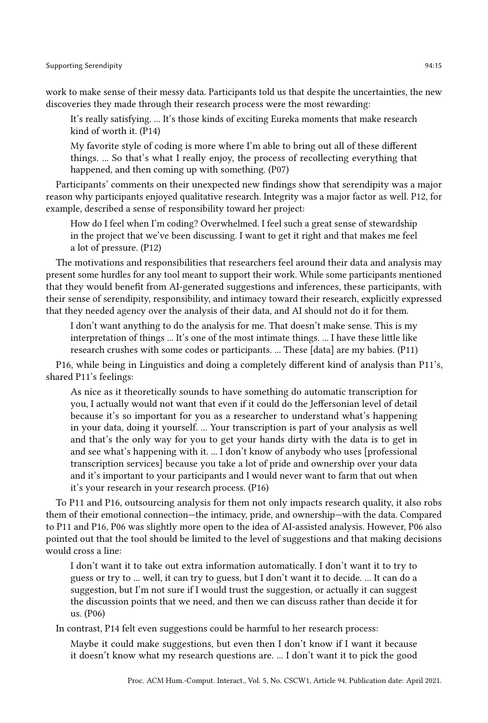work to make sense of their messy data. Participants told us that despite the uncertainties, the new discoveries they made through their research process were the most rewarding:

It's really satisfying. ... It's those kinds of exciting Eureka moments that make research kind of worth it. (P14)

My favorite style of coding is more where I'm able to bring out all of these different things. ... So that's what I really enjoy, the process of recollecting everything that happened, and then coming up with something. (P07)

Participants' comments on their unexpected new findings show that serendipity was a major reason why participants enjoyed qualitative research. Integrity was a major factor as well. P12, for example, described a sense of responsibility toward her project:

How do I feel when I'm coding? Overwhelmed. I feel such a great sense of stewardship in the project that we've been discussing. I want to get it right and that makes me feel a lot of pressure. (P12)

The motivations and responsibilities that researchers feel around their data and analysis may present some hurdles for any tool meant to support their work. While some participants mentioned that they would benefit from AI-generated suggestions and inferences, these participants, with their sense of serendipity, responsibility, and intimacy toward their research, explicitly expressed that they needed agency over the analysis of their data, and AI should not do it for them.

I don't want anything to do the analysis for me. That doesn't make sense. This is my interpretation of things ... It's one of the most intimate things. ... I have these little like research crushes with some codes or participants. ... These [data] are my babies. (P11)

P16, while being in Linguistics and doing a completely different kind of analysis than P11's, shared P11's feelings:

As nice as it theoretically sounds to have something do automatic transcription for you, I actually would not want that even if it could do the Jeffersonian level of detail because it's so important for you as a researcher to understand what's happening in your data, doing it yourself. ... Your transcription is part of your analysis as well and that's the only way for you to get your hands dirty with the data is to get in and see what's happening with it. ... I don't know of anybody who uses [professional transcription services] because you take a lot of pride and ownership over your data and it's important to your participants and I would never want to farm that out when it's your research in your research process. (P16)

To P11 and P16, outsourcing analysis for them not only impacts research quality, it also robs them of their emotional connection—the intimacy, pride, and ownership—with the data. Compared to P11 and P16, P06 was slightly more open to the idea of AI-assisted analysis. However, P06 also pointed out that the tool should be limited to the level of suggestions and that making decisions would cross a line:

I don't want it to take out extra information automatically. I don't want it to try to guess or try to ... well, it can try to guess, but I don't want it to decide. ... It can do a suggestion, but I'm not sure if I would trust the suggestion, or actually it can suggest the discussion points that we need, and then we can discuss rather than decide it for us. (P06)

In contrast, P14 felt even suggestions could be harmful to her research process:

Maybe it could make suggestions, but even then I don't know if I want it because it doesn't know what my research questions are. ... I don't want it to pick the good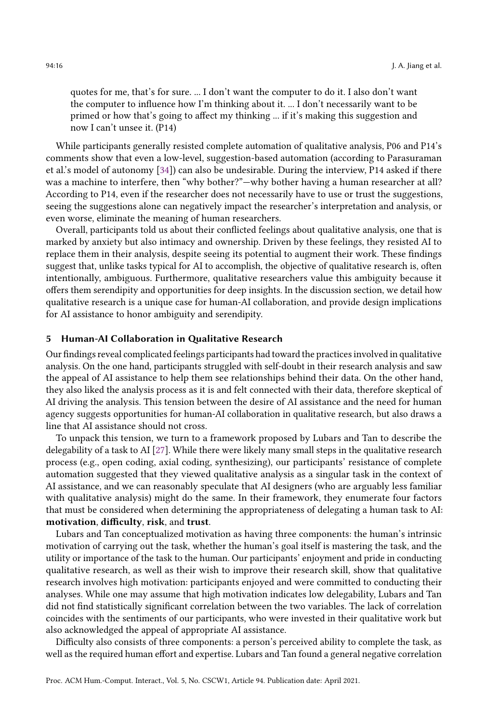quotes for me, that's for sure. ... I don't want the computer to do it. I also don't want the computer to influence how I'm thinking about it. ... I don't necessarily want to be primed or how that's going to affect my thinking ... if it's making this suggestion and now I can't unsee it. (P14)

While participants generally resisted complete automation of qualitative analysis, P06 and P14's comments show that even a low-level, suggestion-based automation (according to Parasuraman et al.'s model of autonomy [\[34\]](#page-21-17)) can also be undesirable. During the interview, P14 asked if there was a machine to interfere, then "why bother?"—why bother having a human researcher at all? According to P14, even if the researcher does not necessarily have to use or trust the suggestions, seeing the suggestions alone can negatively impact the researcher's interpretation and analysis, or even worse, eliminate the meaning of human researchers.

Overall, participants told us about their conflicted feelings about qualitative analysis, one that is marked by anxiety but also intimacy and ownership. Driven by these feelings, they resisted AI to replace them in their analysis, despite seeing its potential to augment their work. These findings suggest that, unlike tasks typical for AI to accomplish, the objective of qualitative research is, often intentionally, ambiguous. Furthermore, qualitative researchers value this ambiguity because it offers them serendipity and opportunities for deep insights. In the discussion section, we detail how qualitative research is a unique case for human-AI collaboration, and provide design implications for AI assistance to honor ambiguity and serendipity.

# 5 Human-AI Collaboration in Qualitative Research

Our findings reveal complicated feelings participants had toward the practices involved in qualitative analysis. On the one hand, participants struggled with self-doubt in their research analysis and saw the appeal of AI assistance to help them see relationships behind their data. On the other hand, they also liked the analysis process as it is and felt connected with their data, therefore skeptical of AI driving the analysis. This tension between the desire of AI assistance and the need for human agency suggests opportunities for human-AI collaboration in qualitative research, but also draws a line that AI assistance should not cross.

To unpack this tension, we turn to a framework proposed by Lubars and Tan to describe the delegability of a task to AI [\[27\]](#page-21-14). While there were likely many small steps in the qualitative research process (e.g., open coding, axial coding, synthesizing), our participants' resistance of complete automation suggested that they viewed qualitative analysis as a singular task in the context of AI assistance, and we can reasonably speculate that AI designers (who are arguably less familiar with qualitative analysis) might do the same. In their framework, they enumerate four factors that must be considered when determining the appropriateness of delegating a human task to AI: motivation, difficulty, risk, and trust.

Lubars and Tan conceptualized motivation as having three components: the human's intrinsic motivation of carrying out the task, whether the human's goal itself is mastering the task, and the utility or importance of the task to the human. Our participants' enjoyment and pride in conducting qualitative research, as well as their wish to improve their research skill, show that qualitative research involves high motivation: participants enjoyed and were committed to conducting their analyses. While one may assume that high motivation indicates low delegability, Lubars and Tan did not find statistically significant correlation between the two variables. The lack of correlation coincides with the sentiments of our participants, who were invested in their qualitative work but also acknowledged the appeal of appropriate AI assistance.

Difficulty also consists of three components: a person's perceived ability to complete the task, as well as the required human effort and expertise. Lubars and Tan found a general negative correlation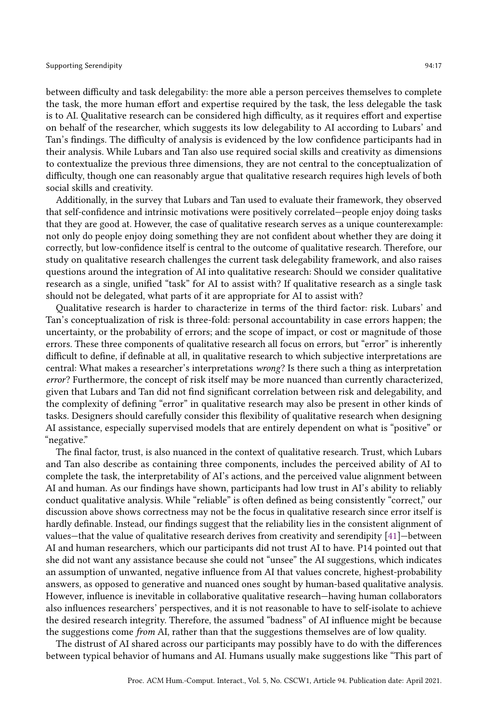between difficulty and task delegability: the more able a person perceives themselves to complete the task, the more human effort and expertise required by the task, the less delegable the task is to AI. Qualitative research can be considered high difficulty, as it requires effort and expertise on behalf of the researcher, which suggests its low delegability to AI according to Lubars' and Tan's findings. The difficulty of analysis is evidenced by the low confidence participants had in their analysis. While Lubars and Tan also use required social skills and creativity as dimensions to contextualize the previous three dimensions, they are not central to the conceptualization of difficulty, though one can reasonably argue that qualitative research requires high levels of both social skills and creativity.

Additionally, in the survey that Lubars and Tan used to evaluate their framework, they observed that self-confidence and intrinsic motivations were positively correlated—people enjoy doing tasks that they are good at. However, the case of qualitative research serves as a unique counterexample: not only do people enjoy doing something they are not confident about whether they are doing it correctly, but low-confidence itself is central to the outcome of qualitative research. Therefore, our study on qualitative research challenges the current task delegability framework, and also raises questions around the integration of AI into qualitative research: Should we consider qualitative research as a single, unified "task" for AI to assist with? If qualitative research as a single task should not be delegated, what parts of it are appropriate for AI to assist with?

Qualitative research is harder to characterize in terms of the third factor: risk. Lubars' and Tan's conceptualization of risk is three-fold: personal accountability in case errors happen; the uncertainty, or the probability of errors; and the scope of impact, or cost or magnitude of those errors. These three components of qualitative research all focus on errors, but "error" is inherently difficult to define, if definable at all, in qualitative research to which subjective interpretations are central: What makes a researcher's interpretations wrong? Is there such a thing as interpretation error? Furthermore, the concept of risk itself may be more nuanced than currently characterized, given that Lubars and Tan did not find significant correlation between risk and delegability, and the complexity of defining "error" in qualitative research may also be present in other kinds of tasks. Designers should carefully consider this flexibility of qualitative research when designing AI assistance, especially supervised models that are entirely dependent on what is "positive" or "negative."

The final factor, trust, is also nuanced in the context of qualitative research. Trust, which Lubars and Tan also describe as containing three components, includes the perceived ability of AI to complete the task, the interpretability of AI's actions, and the perceived value alignment between AI and human. As our findings have shown, participants had low trust in AI's ability to reliably conduct qualitative analysis. While "reliable" is often defined as being consistently "correct," our discussion above shows correctness may not be the focus in qualitative research since error itself is hardly definable. Instead, our findings suggest that the reliability lies in the consistent alignment of values—that the value of qualitative research derives from creativity and serendipity [\[41\]](#page-22-2)—between AI and human researchers, which our participants did not trust AI to have. P14 pointed out that she did not want any assistance because she could not "unsee" the AI suggestions, which indicates an assumption of unwanted, negative influence from AI that values concrete, highest-probability answers, as opposed to generative and nuanced ones sought by human-based qualitative analysis. However, influence is inevitable in collaborative qualitative research—having human collaborators also influences researchers' perspectives, and it is not reasonable to have to self-isolate to achieve the desired research integrity. Therefore, the assumed "badness" of AI influence might be because the suggestions come from AI, rather than that the suggestions themselves are of low quality.

The distrust of AI shared across our participants may possibly have to do with the differences between typical behavior of humans and AI. Humans usually make suggestions like "This part of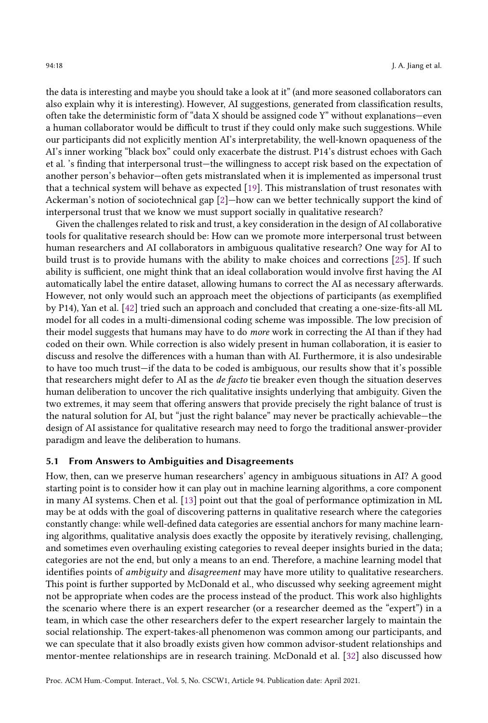the data is interesting and maybe you should take a look at it" (and more seasoned collaborators can also explain why it is interesting). However, AI suggestions, generated from classification results, often take the deterministic form of "data X should be assigned code Y" without explanations—even a human collaborator would be difficult to trust if they could only make such suggestions. While our participants did not explicitly mention AI's interpretability, the well-known opaqueness of the AI's inner working "black box" could only exacerbate the distrust. P14's distrust echoes with Gach et al. 's finding that interpersonal trust—the willingness to accept risk based on the expectation of another person's behavior—often gets mistranslated when it is implemented as impersonal trust that a technical system will behave as expected [\[19\]](#page-20-17). This mistranslation of trust resonates with Ackerman's notion of sociotechnical gap [\[2\]](#page-20-18)—how can we better technically support the kind of interpersonal trust that we know we must support socially in qualitative research?

Given the challenges related to risk and trust, a key consideration in the design of AI collaborative tools for qualitative research should be: How can we promote more interpersonal trust between human researchers and AI collaborators in ambiguous qualitative research? One way for AI to build trust is to provide humans with the ability to make choices and corrections [\[25\]](#page-21-18). If such ability is sufficient, one might think that an ideal collaboration would involve first having the AI automatically label the entire dataset, allowing humans to correct the AI as necessary afterwards. However, not only would such an approach meet the objections of participants (as exemplified by P14), Yan et al. [\[42\]](#page-22-1) tried such an approach and concluded that creating a one-size-fits-all ML model for all codes in a multi-dimensional coding scheme was impossible. The low precision of their model suggests that humans may have to do more work in correcting the AI than if they had coded on their own. While correction is also widely present in human collaboration, it is easier to discuss and resolve the differences with a human than with AI. Furthermore, it is also undesirable to have too much trust—if the data to be coded is ambiguous, our results show that it's possible that researchers might defer to AI as the de facto tie breaker even though the situation deserves human deliberation to uncover the rich qualitative insights underlying that ambiguity. Given the two extremes, it may seem that offering answers that provide precisely the right balance of trust is the natural solution for AI, but "just the right balance" may never be practically achievable—the design of AI assistance for qualitative research may need to forgo the traditional answer-provider paradigm and leave the deliberation to humans.

## 5.1 From Answers to Ambiguities and Disagreements

How, then, can we preserve human researchers' agency in ambiguous situations in AI? A good starting point is to consider how it can play out in machine learning algorithms, a core component in many AI systems. Chen et al. [\[13\]](#page-20-15) point out that the goal of performance optimization in ML may be at odds with the goal of discovering patterns in qualitative research where the categories constantly change: while well-defined data categories are essential anchors for many machine learning algorithms, qualitative analysis does exactly the opposite by iteratively revising, challenging, and sometimes even overhauling existing categories to reveal deeper insights buried in the data; categories are not the end, but only a means to an end. Therefore, a machine learning model that identifies points of *ambiguity* and *disagreement* may have more utility to qualitative researchers. This point is further supported by McDonald et al., who discussed why seeking agreement might not be appropriate when codes are the process instead of the product. This work also highlights the scenario where there is an expert researcher (or a researcher deemed as the "expert") in a team, in which case the other researchers defer to the expert researcher largely to maintain the social relationship. The expert-takes-all phenomenon was common among our participants, and we can speculate that it also broadly exists given how common advisor-student relationships and mentor-mentee relationships are in research training. McDonald et al. [\[32\]](#page-21-10) also discussed how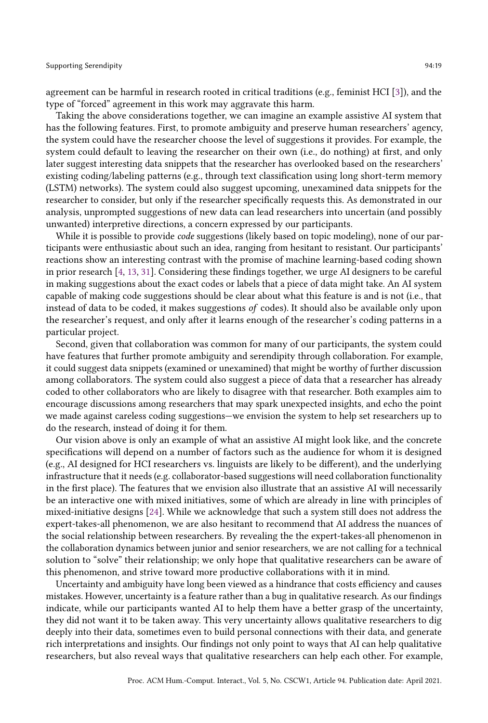agreement can be harmful in research rooted in critical traditions (e.g., feminist HCI [\[3\]](#page-20-19)), and the type of "forced" agreement in this work may aggravate this harm.

Taking the above considerations together, we can imagine an example assistive AI system that has the following features. First, to promote ambiguity and preserve human researchers' agency, the system could have the researcher choose the level of suggestions it provides. For example, the system could default to leaving the researcher on their own (i.e., do nothing) at first, and only later suggest interesting data snippets that the researcher has overlooked based on the researchers' existing coding/labeling patterns (e.g., through text classification using long short-term memory (LSTM) networks). The system could also suggest upcoming, unexamined data snippets for the researcher to consider, but only if the researcher specifically requests this. As demonstrated in our analysis, unprompted suggestions of new data can lead researchers into uncertain (and possibly unwanted) interpretive directions, a concern expressed by our participants.

While it is possible to provide *code* suggestions (likely based on topic modeling), none of our participants were enthusiastic about such an idea, ranging from hesitant to resistant. Our participants' reactions show an interesting contrast with the promise of machine learning-based coding shown in prior research [\[4,](#page-20-1) [13,](#page-20-15) [31\]](#page-21-2). Considering these findings together, we urge AI designers to be careful in making suggestions about the exact codes or labels that a piece of data might take. An AI system capable of making code suggestions should be clear about what this feature is and is not (i.e., that instead of data to be coded, it makes suggestions of codes). It should also be available only upon the researcher's request, and only after it learns enough of the researcher's coding patterns in a particular project.

Second, given that collaboration was common for many of our participants, the system could have features that further promote ambiguity and serendipity through collaboration. For example, it could suggest data snippets (examined or unexamined) that might be worthy of further discussion among collaborators. The system could also suggest a piece of data that a researcher has already coded to other collaborators who are likely to disagree with that researcher. Both examples aim to encourage discussions among researchers that may spark unexpected insights, and echo the point we made against careless coding suggestions—we envision the system to help set researchers up to do the research, instead of doing it for them.

Our vision above is only an example of what an assistive AI might look like, and the concrete specifications will depend on a number of factors such as the audience for whom it is designed (e.g., AI designed for HCI researchers vs. linguists are likely to be different), and the underlying infrastructure that it needs (e.g. collaborator-based suggestions will need collaboration functionality in the first place). The features that we envision also illustrate that an assistive AI will necessarily be an interactive one with mixed initiatives, some of which are already in line with principles of mixed-initiative designs [\[24\]](#page-21-19). While we acknowledge that such a system still does not address the expert-takes-all phenomenon, we are also hesitant to recommend that AI address the nuances of the social relationship between researchers. By revealing the the expert-takes-all phenomenon in the collaboration dynamics between junior and senior researchers, we are not calling for a technical solution to "solve" their relationship; we only hope that qualitative researchers can be aware of this phenomenon, and strive toward more productive collaborations with it in mind.

Uncertainty and ambiguity have long been viewed as a hindrance that costs efficiency and causes mistakes. However, uncertainty is a feature rather than a bug in qualitative research. As our findings indicate, while our participants wanted AI to help them have a better grasp of the uncertainty, they did not want it to be taken away. This very uncertainty allows qualitative researchers to dig deeply into their data, sometimes even to build personal connections with their data, and generate rich interpretations and insights. Our findings not only point to ways that AI can help qualitative researchers, but also reveal ways that qualitative researchers can help each other. For example,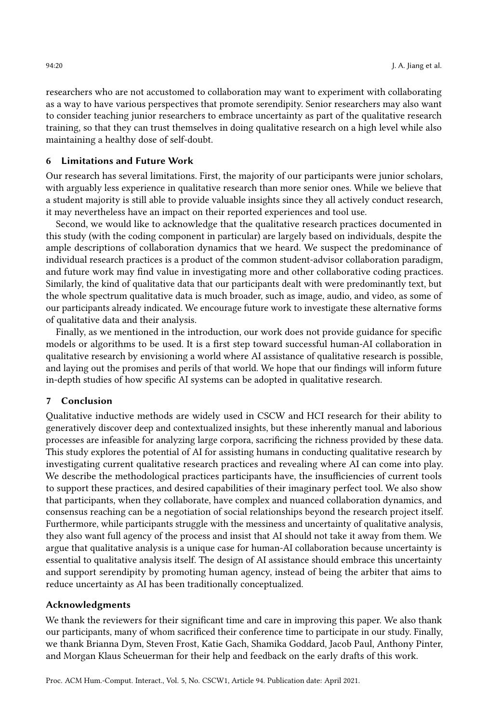researchers who are not accustomed to collaboration may want to experiment with collaborating as a way to have various perspectives that promote serendipity. Senior researchers may also want to consider teaching junior researchers to embrace uncertainty as part of the qualitative research training, so that they can trust themselves in doing qualitative research on a high level while also maintaining a healthy dose of self-doubt.

# 6 Limitations and Future Work

Our research has several limitations. First, the majority of our participants were junior scholars, with arguably less experience in qualitative research than more senior ones. While we believe that a student majority is still able to provide valuable insights since they all actively conduct research, it may nevertheless have an impact on their reported experiences and tool use.

Second, we would like to acknowledge that the qualitative research practices documented in this study (with the coding component in particular) are largely based on individuals, despite the ample descriptions of collaboration dynamics that we heard. We suspect the predominance of individual research practices is a product of the common student-advisor collaboration paradigm, and future work may find value in investigating more and other collaborative coding practices. Similarly, the kind of qualitative data that our participants dealt with were predominantly text, but the whole spectrum qualitative data is much broader, such as image, audio, and video, as some of our participants already indicated. We encourage future work to investigate these alternative forms of qualitative data and their analysis.

Finally, as we mentioned in the introduction, our work does not provide guidance for specific models or algorithms to be used. It is a first step toward successful human-AI collaboration in qualitative research by envisioning a world where AI assistance of qualitative research is possible, and laying out the promises and perils of that world. We hope that our findings will inform future in-depth studies of how specific AI systems can be adopted in qualitative research.

# 7 Conclusion

Qualitative inductive methods are widely used in CSCW and HCI research for their ability to generatively discover deep and contextualized insights, but these inherently manual and laborious processes are infeasible for analyzing large corpora, sacrificing the richness provided by these data. This study explores the potential of AI for assisting humans in conducting qualitative research by investigating current qualitative research practices and revealing where AI can come into play. We describe the methodological practices participants have, the insufficiencies of current tools to support these practices, and desired capabilities of their imaginary perfect tool. We also show that participants, when they collaborate, have complex and nuanced collaboration dynamics, and consensus reaching can be a negotiation of social relationships beyond the research project itself. Furthermore, while participants struggle with the messiness and uncertainty of qualitative analysis, they also want full agency of the process and insist that AI should not take it away from them. We argue that qualitative analysis is a unique case for human-AI collaboration because uncertainty is essential to qualitative analysis itself. The design of AI assistance should embrace this uncertainty and support serendipity by promoting human agency, instead of being the arbiter that aims to reduce uncertainty as AI has been traditionally conceptualized.

# Acknowledgments

We thank the reviewers for their significant time and care in improving this paper. We also thank our participants, many of whom sacrificed their conference time to participate in our study. Finally, we thank Brianna Dym, Steven Frost, Katie Gach, Shamika Goddard, Jacob Paul, Anthony Pinter, and Morgan Klaus Scheuerman for their help and feedback on the early drafts of this work.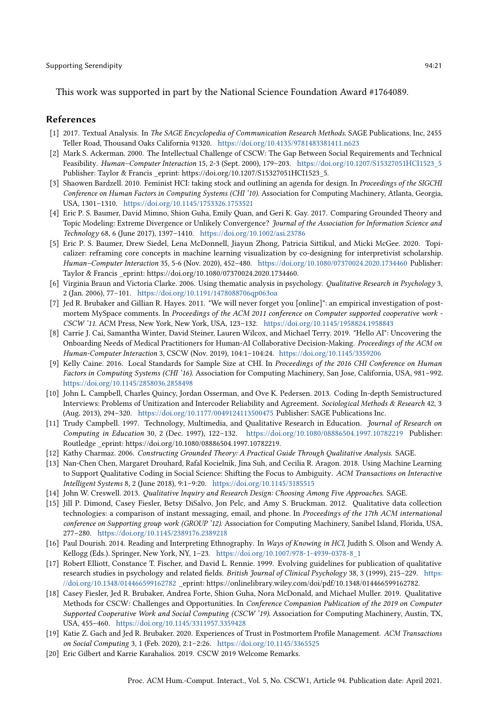This work was supported in part by the National Science Foundation Award #1764089.

#### References

- <span id="page-20-6"></span>[1] 2017. Textual Analysis. In The SAGE Encyclopedia of Communication Research Methods. SAGE Publications, Inc, 2455 Teller Road, Thousand Oaks California 91320. <https://doi.org/10.4135/9781483381411.n623>
- <span id="page-20-18"></span>[2] Mark S. Ackerman. 2000. The Intellectual Challenge of CSCW: The Gap Between Social Requirements and Technical Feasibility. Human–Computer Interaction 15, 2-3 (Sept. 2000), 179–203. [https://doi.org/10.1207/S15327051HCI1523\\_5](https://doi.org/10.1207/S15327051HCI1523_5) Publisher: Taylor & Francis \_eprint: https://doi.org/10.1207/S15327051HCI1523\_5.
- <span id="page-20-19"></span>[3] Shaowen Bardzell. 2010. Feminist HCI: taking stock and outlining an agenda for design. In Proceedings of the SIGCHI Conference on Human Factors in Computing Systems (CHI '10). Association for Computing Machinery, Atlanta, Georgia, USA, 1301–1310. <https://doi.org/10.1145/1753326.1753521>
- <span id="page-20-1"></span>[4] Eric P. S. Baumer, David Mimno, Shion Guha, Emily Quan, and Geri K. Gay. 2017. Comparing Grounded Theory and Topic Modeling: Extreme Divergence or Unlikely Convergence? Journal of the Association for Information Science and Technology 68, 6 (June 2017), 1397–1410. <https://doi.org/10.1002/asi.23786>
- <span id="page-20-14"></span>[5] Eric P. S. Baumer, Drew Siedel, Lena McDonnell, Jiayun Zhong, Patricia Sittikul, and Micki McGee. 2020. Topicalizer: reframing core concepts in machine learning visualization by co-designing for interpretivist scholarship. Human–Computer Interaction 35, 5-6 (Nov. 2020), 452–480. <https://doi.org/10.1080/07370024.2020.1734460> Publisher: Taylor & Francis \_eprint: https://doi.org/10.1080/07370024.2020.1734460.
- <span id="page-20-5"></span>[6] Virginia Braun and Victoria Clarke. 2006. Using thematic analysis in psychology. Qualitative Research in Psychology 3, 2 (Jan. 2006), 77–101. <https://doi.org/10.1191/1478088706qp063oa>
- <span id="page-20-0"></span>[7] Jed R. Brubaker and Gillian R. Hayes. 2011. "We will never forget you [online]": an empirical investigation of postmortem MySpace comments. In Proceedings of the ACM 2011 conference on Computer supported cooperative work -CSCW '11. ACM Press, New York, New York, USA, 123–132. <https://doi.org/10.1145/1958824.1958843>
- <span id="page-20-2"></span>[8] Carrie J. Cai, Samantha Winter, David Steiner, Lauren Wilcox, and Michael Terry. 2019. "Hello AI": Uncovering the Onboarding Needs of Medical Practitioners for Human-AI Collaborative Decision-Making. Proceedings of the ACM on Human-Computer Interaction 3, CSCW (Nov. 2019), 104:1–104:24. <https://doi.org/10.1145/3359206>
- <span id="page-20-13"></span>[9] Kelly Caine. 2016. Local Standards for Sample Size at CHI. In Proceedings of the 2016 CHI Conference on Human Factors in Computing Systems (CHI '16). Association for Computing Machinery, San Jose, California, USA, 981–992. <https://doi.org/10.1145/2858036.2858498>
- <span id="page-20-11"></span>[10] John L. Campbell, Charles Quincy, Jordan Osserman, and Ove K. Pedersen. 2013. Coding In-depth Semistructured Interviews: Problems of Unitization and Intercoder Reliability and Agreement. Sociological Methods & Research 42, 3 (Aug. 2013), 294–320. <https://doi.org/10.1177/0049124113500475> Publisher: SAGE Publications Inc.
- <span id="page-20-9"></span>[11] Trudy Campbell. 1997. Technology, Multimedia, and Qualitative Research in Education. Journal of Research on Computing in Education 30, 2 (Dec. 1997), 122–132. <https://doi.org/10.1080/08886504.1997.10782219> Publisher: Routledge \_eprint: https://doi.org/10.1080/08886504.1997.10782219.
- <span id="page-20-7"></span>[12] Kathy Charmaz. 2006. Constructing Grounded Theory: A Practical Guide Through Qualitative Analysis. SAGE.
- <span id="page-20-15"></span>[13] Nan-Chen Chen, Margaret Drouhard, Rafal Kocielnik, Jina Suh, and Cecilia R. Aragon. 2018. Using Machine Learning to Support Qualitative Coding in Social Science: Shifting the Focus to Ambiguity. ACM Transactions on Interactive Intelligent Systems 8, 2 (June 2018), 9:1–9:20. <https://doi.org/10.1145/3185515>
- <span id="page-20-8"></span>[14] John W. Creswell. 2013. Qualitative Inquiry and Research Design: Choosing Among Five Approaches. SAGE.
- <span id="page-20-12"></span>[15] Jill P. Dimond, Casey Fiesler, Betsy DiSalvo, Jon Pelc, and Amy S. Bruckman. 2012. Qualitative data collection technologies: a comparison of instant messaging, email, and phone. In Proceedings of the 17th ACM international conference on Supporting group work (GROUP '12). Association for Computing Machinery, Sanibel Island, Florida, USA, 277–280. <https://doi.org/10.1145/2389176.2389218>
- <span id="page-20-16"></span>[16] Paul Dourish. 2014. Reading and Interpreting Ethnography. In Ways of Knowing in HCI, Judith S. Olson and Wendy A. Kellogg (Eds.). Springer, New York, NY, 1–23. [https://doi.org/10.1007/978-1-4939-0378-8\\_1](https://doi.org/10.1007/978-1-4939-0378-8_1)
- <span id="page-20-10"></span>[17] Robert Elliott, Constance T. Fischer, and David L. Rennie. 1999. Evolving guidelines for publication of qualitative research studies in psychology and related fields. British Journal of Clinical Psychology 38, 3 (1999), 215-229. [https:](https://doi.org/10.1348/014466599162782) [//doi.org/10.1348/014466599162782](https://doi.org/10.1348/014466599162782) \_eprint: https://onlinelibrary.wiley.com/doi/pdf/10.1348/014466599162782.
- <span id="page-20-4"></span>[18] Casey Fiesler, Jed R. Brubaker, Andrea Forte, Shion Guha, Nora McDonald, and Michael Muller. 2019. Qualitative Methods for CSCW: Challenges and Opportunities. In Conference Companion Publication of the 2019 on Computer Supported Cooperative Work and Social Computing (CSCW '19). Association for Computing Machinery, Austin, TX, USA, 455–460. <https://doi.org/10.1145/3311957.3359428>
- <span id="page-20-17"></span>[19] Katie Z. Gach and Jed R. Brubaker. 2020. Experiences of Trust in Postmortem Profile Management. ACM Transactions on Social Computing 3, 1 (Feb. 2020), 2:1–2:26. <https://doi.org/10.1145/3365525>
- <span id="page-20-3"></span>[20] Eric Gilbert and Karrie Karahalios. 2019. CSCW 2019 Welcome Remarks.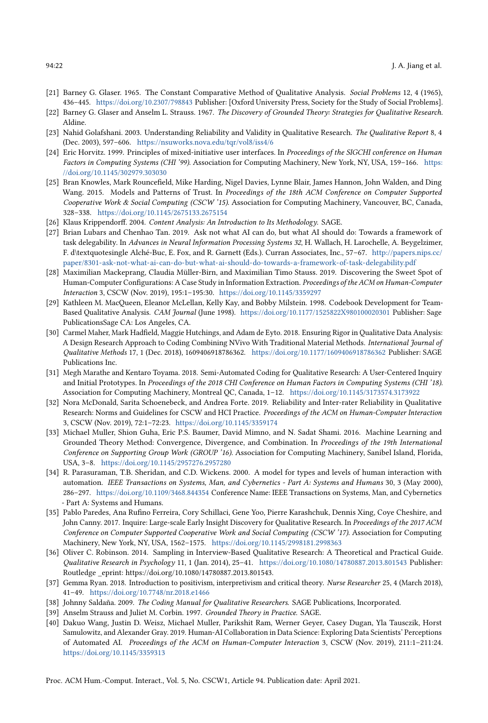- <span id="page-21-3"></span>[21] Barney G. Glaser. 1965. The Constant Comparative Method of Qualitative Analysis. Social Problems 12, 4 (1965), 436–445. <https://doi.org/10.2307/798843> Publisher: [Oxford University Press, Society for the Study of Social Problems].
- <span id="page-21-4"></span>[22] Barney G. Glaser and Anselm L. Strauss. 1967. The Discovery of Grounded Theory: Strategies for Qualitative Research. Aldine.
- <span id="page-21-7"></span>[23] Nahid Golafshani. 2003. Understanding Reliability and Validity in Qualitative Research. The Qualitative Report 8, 4 (Dec. 2003), 597–606. <https://nsuworks.nova.edu/tqr/vol8/iss4/6>
- <span id="page-21-19"></span>[24] Eric Horvitz. 1999. Principles of mixed-initiative user interfaces. In Proceedings of the SIGCHI conference on Human Factors in Computing Systems (CHI '99). Association for Computing Machinery, New York, NY, USA, 159–166. [https:](https://doi.org/10.1145/302979.303030) [//doi.org/10.1145/302979.303030](https://doi.org/10.1145/302979.303030)
- <span id="page-21-18"></span>[25] Bran Knowles, Mark Rouncefield, Mike Harding, Nigel Davies, Lynne Blair, James Hannon, John Walden, and Ding Wang. 2015. Models and Patterns of Trust. In Proceedings of the 18th ACM Conference on Computer Supported Cooperative Work & Social Computing (CSCW '15). Association for Computing Machinery, Vancouver, BC, Canada, 328–338. <https://doi.org/10.1145/2675133.2675154>
- <span id="page-21-8"></span>[26] Klaus Krippendorff. 2004. Content Analysis: An Introduction to Its Methodology. SAGE.
- <span id="page-21-14"></span>[27] Brian Lubars and Chenhao Tan. 2019. Ask not what AI can do, but what AI should do: Towards a framework of task delegability. In Advances in Neural Information Processing Systems 32, H. Wallach, H. Larochelle, A. Beygelzimer, F. d\textquotesingle Alché-Buc, E. Fox, and R. Garnett (Eds.). Curran Associates, Inc., 57–67. [http://papers.nips.cc/](http://papers.nips.cc/paper/8301-ask-not-what-ai-can-do-but-what-ai-should-do-towards-a-framework-of-task-delegability.pdf) [paper/8301-ask-not-what-ai-can-do-but-what-ai-should-do-towards-a-framework-of-task-delegability.pdf](http://papers.nips.cc/paper/8301-ask-not-what-ai-can-do-but-what-ai-should-do-towards-a-framework-of-task-delegability.pdf)
- <span id="page-21-12"></span>[28] Maximilian Mackeprang, Claudia Müller-Birn, and Maximilian Timo Stauss. 2019. Discovering the Sweet Spot of Human-Computer Configurations: A Case Study in Information Extraction. Proceedings of the ACM on Human-Computer Interaction 3, CSCW (Nov. 2019), 195:1–195:30. <https://doi.org/10.1145/3359297>
- <span id="page-21-16"></span>[29] Kathleen M. MacQueen, Eleanor McLellan, Kelly Kay, and Bobby Milstein. 1998. Codebook Development for Team-Based Qualitative Analysis. CAM Journal (June 1998). <https://doi.org/10.1177/1525822X980100020301> Publisher: Sage PublicationsSage CA: Los Angeles, CA.
- <span id="page-21-9"></span>[30] Carmel Maher, Mark Hadfield, Maggie Hutchings, and Adam de Eyto. 2018. Ensuring Rigor in Qualitative Data Analysis: A Design Research Approach to Coding Combining NVivo With Traditional Material Methods. International Journal of Qualitative Methods 17, 1 (Dec. 2018), 1609406918786362. <https://doi.org/10.1177/1609406918786362> Publisher: SAGE Publications Inc.
- <span id="page-21-2"></span>[31] Megh Marathe and Kentaro Toyama. 2018. Semi-Automated Coding for Qualitative Research: A User-Centered Inquiry and Initial Prototypes. In Proceedings of the 2018 CHI Conference on Human Factors in Computing Systems (CHI '18). Association for Computing Machinery, Montreal QC, Canada, 1–12. <https://doi.org/10.1145/3173574.3173922>
- <span id="page-21-10"></span>[32] Nora McDonald, Sarita Schoenebeck, and Andrea Forte. 2019. Reliability and Inter-rater Reliability in Qualitative Research: Norms and Guidelines for CSCW and HCI Practice. Proceedings of the ACM on Human-Computer Interaction 3, CSCW (Nov. 2019), 72:1–72:23. <https://doi.org/10.1145/3359174>
- <span id="page-21-1"></span>[33] Michael Muller, Shion Guha, Eric P.S. Baumer, David Mimno, and N. Sadat Shami. 2016. Machine Learning and Grounded Theory Method: Convergence, Divergence, and Combination. In Proceedings of the 19th International Conference on Supporting Group Work (GROUP '16). Association for Computing Machinery, Sanibel Island, Florida, USA, 3–8. <https://doi.org/10.1145/2957276.2957280>
- <span id="page-21-17"></span>[34] R. Parasuraman, T.B. Sheridan, and C.D. Wickens. 2000. A model for types and levels of human interaction with automation. IEEE Transactions on Systems, Man, and Cybernetics - Part A: Systems and Humans 30, 3 (May 2000), 286–297. <https://doi.org/10.1109/3468.844354> Conference Name: IEEE Transactions on Systems, Man, and Cybernetics - Part A: Systems and Humans.
- <span id="page-21-11"></span>[35] Pablo Paredes, Ana Rufino Ferreira, Cory Schillaci, Gene Yoo, Pierre Karashchuk, Dennis Xing, Coye Cheshire, and John Canny. 2017. Inquire: Large-scale Early Insight Discovery for Qualitative Research. In Proceedings of the 2017 ACM Conference on Computer Supported Cooperative Work and Social Computing (CSCW '17). Association for Computing Machinery, New York, NY, USA, 1562–1575. <https://doi.org/10.1145/2998181.2998363>
- <span id="page-21-0"></span>[36] Oliver C. Robinson. 2014. Sampling in Interview-Based Qualitative Research: A Theoretical and Practical Guide. Qualitative Research in Psychology 11, 1 (Jan. 2014), 25–41. <https://doi.org/10.1080/14780887.2013.801543> Publisher: Routledge \_eprint: https://doi.org/10.1080/14780887.2013.801543.
- <span id="page-21-6"></span>[37] Gemma Ryan. 2018. Introduction to positivism, interpretivism and critical theory. Nurse Researcher 25, 4 (March 2018), 41–49. <https://doi.org/10.7748/nr.2018.e1466>
- <span id="page-21-15"></span>[38] Johnny Saldaña. 2009. The Coding Manual for Qualitative Researchers. SAGE Publications, Incorporated.
- <span id="page-21-5"></span>[39] Anselm Strauss and Juliet M. Corbin. 1997. Grounded Theory in Practice. SAGE.
- <span id="page-21-13"></span>[40] Dakuo Wang, Justin D. Weisz, Michael Muller, Parikshit Ram, Werner Geyer, Casey Dugan, Yla Tausczik, Horst Samulowitz, and Alexander Gray. 2019. Human-AI Collaboration in Data Science: Exploring Data Scientists' Perceptions of Automated AI. Proceedings of the ACM on Human-Computer Interaction 3, CSCW (Nov. 2019), 211:1–211:24. <https://doi.org/10.1145/3359313>

Proc. ACM Hum.-Comput. Interact., Vol. 5, No. CSCW1, Article 94. Publication date: April 2021.